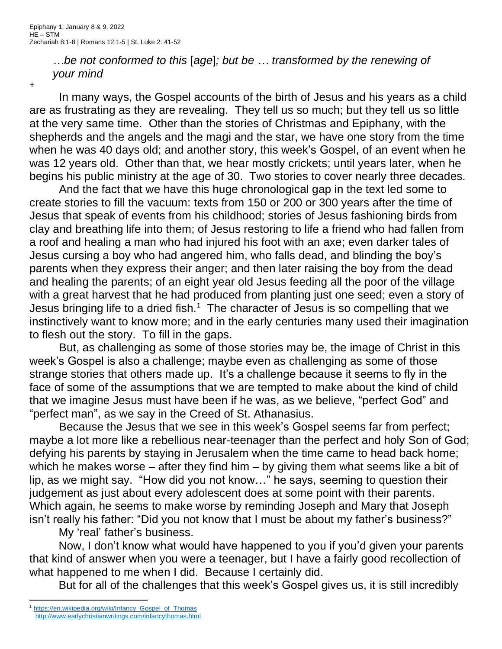*…be not conformed to this* [*age*]*; but be … transformed by the renewing of your mind*

+

In many ways, the Gospel accounts of the birth of Jesus and his years as a child are as frustrating as they are revealing. They tell us so much; but they tell us so little at the very same time. Other than the stories of Christmas and Epiphany, with the shepherds and the angels and the magi and the star, we have one story from the time when he was 40 days old; and another story, this week's Gospel, of an event when he was 12 years old. Other than that, we hear mostly crickets; until years later, when he begins his public ministry at the age of 30. Two stories to cover nearly three decades.

And the fact that we have this huge chronological gap in the text led some to create stories to fill the vacuum: texts from 150 or 200 or 300 years after the time of Jesus that speak of events from his childhood; stories of Jesus fashioning birds from clay and breathing life into them; of Jesus restoring to life a friend who had fallen from a roof and healing a man who had injured his foot with an axe; even darker tales of Jesus cursing a boy who had angered him, who falls dead, and blinding the boy's parents when they express their anger; and then later raising the boy from the dead and healing the parents; of an eight year old Jesus feeding all the poor of the village with a great harvest that he had produced from planting just one seed; even a story of Jesus bringing life to a dried fish.<sup>1</sup> The character of Jesus is so compelling that we instinctively want to know more; and in the early centuries many used their imagination to flesh out the story. To fill in the gaps.

But, as challenging as some of those stories may be, the image of Christ in this week's Gospel is also a challenge; maybe even as challenging as some of those strange stories that others made up. It's a challenge because it seems to fly in the face of some of the assumptions that we are tempted to make about the kind of child that we imagine Jesus must have been if he was, as we believe, "perfect God" and "perfect man", as we say in the Creed of St. Athanasius.

Because the Jesus that we see in this week's Gospel seems far from perfect; maybe a lot more like a rebellious near-teenager than the perfect and holy Son of God; defying his parents by staying in Jerusalem when the time came to head back home; which he makes worse – after they find him – by giving them what seems like a bit of lip, as we might say. "How did you not know…" he says, seeming to question their judgement as just about every adolescent does at some point with their parents. Which again, he seems to make worse by reminding Joseph and Mary that Joseph isn't really his father: "Did you not know that I must be about my father's business?"

My 'real' father's business.

Now, I don't know what would have happened to you if you'd given your parents that kind of answer when you were a teenager, but I have a fairly good recollection of what happened to me when I did. Because I certainly did.

But for all of the challenges that this week's Gospel gives us, it is still incredibly

<sup>&</sup>lt;sup>1</sup> [https://en.wikipedia.org/wiki/Infancy\\_Gospel\\_of\\_Thomas](https://en.wikipedia.org/wiki/Infancy_Gospel_of_Thomas) <http://www.earlychristianwritings.com/infancythomas.html>